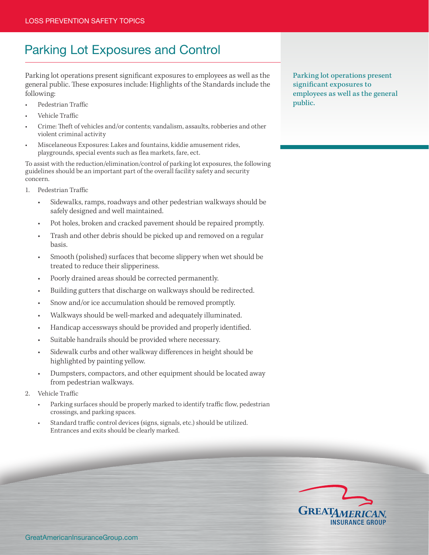## Parking Lot Exposures and Control

Parking lot operations present significant exposures to employees as well as the general public. These exposures include: Highlights of the Standards include the following:

- Pedestrian Traffic
- Vehicle Traffic
- Crime: Theft of vehicles and/or contents; vandalism, assaults, robberies and other violent criminal activity
- Miscelaneous Exposures: Lakes and fountains, kiddie amusement rides, playgrounds, special events such as flea markets, fare, ect.

To assist with the reduction/elimination/control of parking lot exposures, the following guidelines should be an important part of the overall facility safety and security concern.

- 1. Pedestrian Traffic
	- Sidewalks, ramps, roadways and other pedestrian walkways should be safely designed and well maintained.
	- Pot holes, broken and cracked pavement should be repaired promptly.
	- Trash and other debris should be picked up and removed on a regular basis.
	- Smooth (polished) surfaces that become slippery when wet should be treated to reduce their slipperiness.
	- Poorly drained areas should be corrected permanently.
	- Building gutters that discharge on walkways should be redirected.
	- Snow and/or ice accumulation should be removed promptly.
	- Walkways should be well-marked and adequately illuminated.
	- Handicap accessways should be provided and properly identified.
	- Suitable handrails should be provided where necessary.
	- Sidewalk curbs and other walkway differences in height should be highlighted by painting yellow.
	- Dumpsters, compactors, and other equipment should be located away from pedestrian walkways.
- 2. Vehicle Traffic
	- Parking surfaces should be properly marked to identify traffic flow, pedestrian crossings, and parking spaces.
	- Standard traffic control devices (signs, signals, etc.) should be utilized. Entrances and exits should be clearly marked.

Parking lot operations present significant exposures to employees as well as the general public.